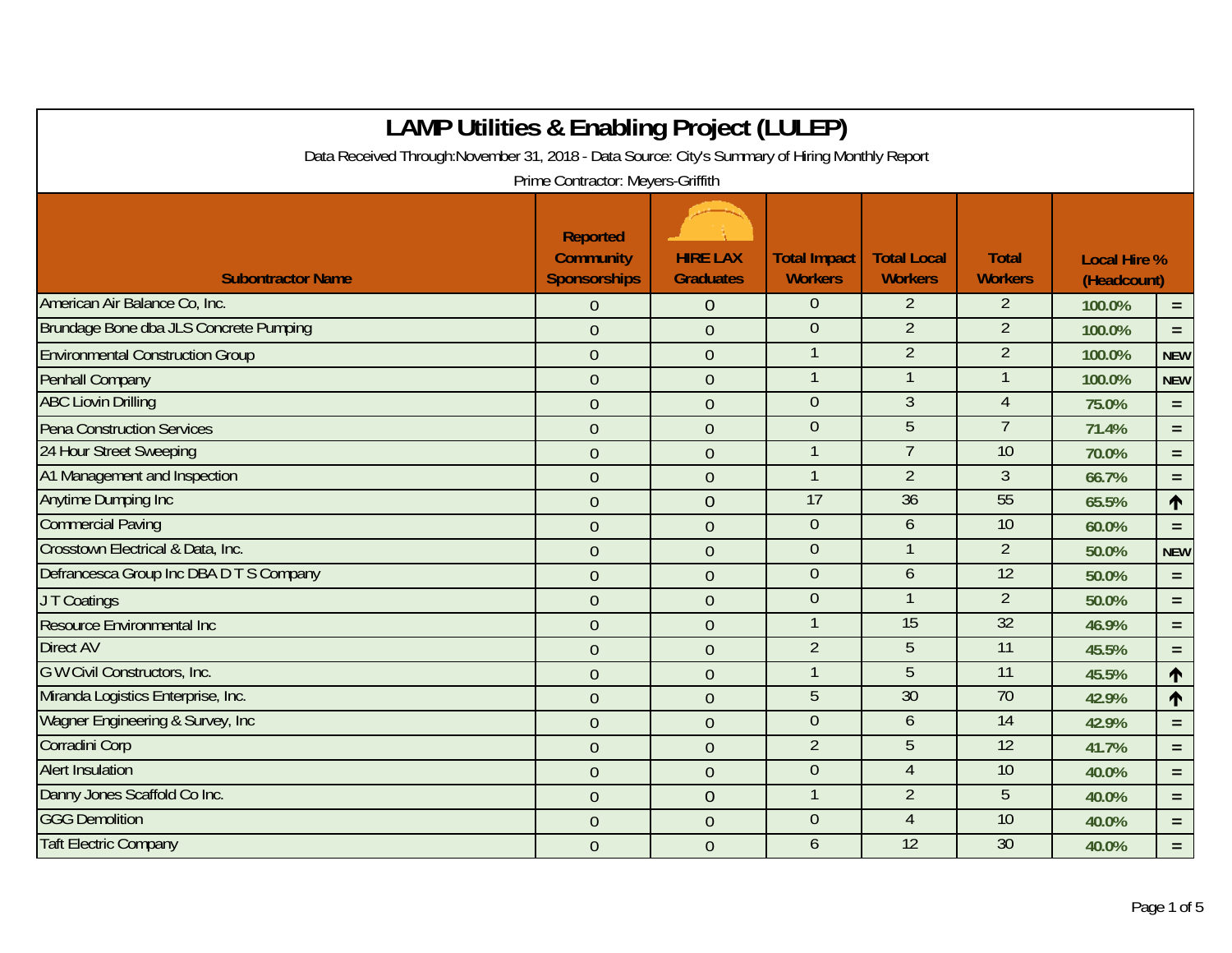| <b>LAMP Utilities &amp; Enabling Project (LULEP)</b>                                                                                 |                                                            |                                     |                                       |                                      |                                |                                    |            |  |
|--------------------------------------------------------------------------------------------------------------------------------------|------------------------------------------------------------|-------------------------------------|---------------------------------------|--------------------------------------|--------------------------------|------------------------------------|------------|--|
| Data Received Through: November 31, 2018 - Data Source: City's Summary of Hiring Monthly Report<br>Prime Contractor: Meyers-Griffith |                                                            |                                     |                                       |                                      |                                |                                    |            |  |
| <b>Subontractor Name</b>                                                                                                             | <b>Reported</b><br><b>Community</b><br><b>Sponsorships</b> | <b>HIRE LAX</b><br><b>Graduates</b> | <b>Total Impact</b><br><b>Workers</b> | <b>Total Local</b><br><b>Workers</b> | <b>Total</b><br><b>Workers</b> | <b>Local Hire %</b><br>(Headcount) |            |  |
| American Air Balance Co, Inc.                                                                                                        | $\overline{0}$                                             | $\theta$                            | $\Omega$                              | $\overline{2}$                       | $\overline{2}$                 | 100.0%                             | $=$        |  |
| Brundage Bone dba JLS Concrete Pumping                                                                                               | $\overline{0}$                                             | $\overline{0}$                      | $\overline{0}$                        | $\overline{2}$                       | $\overline{2}$                 | 100.0%                             | $=$        |  |
| <b>Environmental Construction Group</b>                                                                                              | $\overline{0}$                                             | $\boldsymbol{0}$                    |                                       | $\overline{2}$                       | $\overline{2}$                 | 100.0%                             | <b>NEW</b> |  |
| <b>Penhall Company</b>                                                                                                               | $\overline{0}$                                             | $\overline{0}$                      |                                       | $\mathbf{1}$                         | $\mathbf{1}$                   | 100.0%                             | <b>NEW</b> |  |
| <b>ABC Liovin Drilling</b>                                                                                                           | $\overline{0}$                                             | $\overline{0}$                      | $\theta$                              | $\mathfrak{Z}$                       | $\overline{4}$                 | 75.0%                              | $=$        |  |
| <b>Pena Construction Services</b>                                                                                                    | $\overline{0}$                                             | $\overline{0}$                      | $\theta$                              | 5                                    | $\overline{7}$                 | 71.4%                              | $=$        |  |
| 24 Hour Street Sweeping                                                                                                              | $\overline{0}$                                             | $\mathbf{0}$                        |                                       | $\overline{7}$                       | 10                             | 70.0%                              | $=$        |  |
| A1 Management and Inspection                                                                                                         | $\overline{0}$                                             | $\mathbf{0}$                        | $\mathbf{1}$                          | $\overline{2}$                       | 3                              | 66.7%                              | $=$        |  |
| <b>Anytime Dumping Inc</b>                                                                                                           | $\overline{0}$                                             | $\overline{0}$                      | 17                                    | 36                                   | 55                             | 65.5%                              | $\uparrow$ |  |
| <b>Commercial Paving</b>                                                                                                             | $\overline{0}$                                             | $\overline{0}$                      | $\theta$                              | 6                                    | 10                             | 60.0%                              | $=$        |  |
| Crosstown Electrical & Data, Inc.                                                                                                    | $\overline{0}$                                             | $\overline{0}$                      | $\mathbf{0}$                          | $\mathbf{1}$                         | $\overline{2}$                 | 50.0%                              | <b>NEW</b> |  |
| Defrancesca Group Inc DBA D T S Company                                                                                              | $\overline{0}$                                             | $\overline{0}$                      | $\boldsymbol{0}$                      | 6                                    | $\overline{12}$                | 50.0%                              | $=$        |  |
| J T Coatings                                                                                                                         | $\overline{0}$                                             | $\overline{0}$                      | $\mathbf{0}$                          | $\mathbf{1}$                         | $\overline{2}$                 | 50.0%                              | $=$        |  |
| Resource Environmental Inc                                                                                                           | $\overline{0}$                                             | $\overline{0}$                      |                                       | $\overline{15}$                      | $\overline{32}$                | 46.9%                              | $=$        |  |
| <b>Direct AV</b>                                                                                                                     | $\overline{0}$                                             | $\overline{0}$                      | $\overline{2}$                        | 5                                    | 11                             | 45.5%                              | $\equiv$   |  |
| G W Civil Constructors, Inc.                                                                                                         | $\overline{0}$                                             | $\theta$                            |                                       | $\overline{5}$                       | $\overline{11}$                | 45.5%                              | $\uparrow$ |  |
| Miranda Logistics Enterprise, Inc.                                                                                                   | $\overline{0}$                                             | $\mathbf{0}$                        | $\overline{5}$                        | 30                                   | $\overline{70}$                | 42.9%                              | $\uparrow$ |  |
| Wagner Engineering & Survey, Inc.                                                                                                    | $\overline{0}$                                             | $\mathbf{0}$                        | $\overline{0}$                        | 6                                    | 14                             | 42.9%                              | $=$        |  |
| Corradini Corp                                                                                                                       | $\overline{0}$                                             | $\mathbf{0}$                        | $\overline{2}$                        | 5                                    | 12                             | 41.7%                              | $=$        |  |
| <b>Alert Insulation</b>                                                                                                              | $\overline{0}$                                             | $\overline{0}$                      | $\overline{0}$                        | $\overline{4}$                       | 10                             | 40.0%                              | $=$        |  |
| Danny Jones Scaffold Co Inc.                                                                                                         | $\overline{0}$                                             | $\overline{0}$                      | 1                                     | $\overline{2}$                       | 5                              | 40.0%                              | $=$        |  |
| <b>GGG Demolition</b>                                                                                                                | $\overline{0}$                                             | $\overline{0}$                      | $\overline{0}$                        | $\overline{4}$                       | 10                             | 40.0%                              | $=$        |  |
| <b>Taft Electric Company</b>                                                                                                         | $\overline{0}$                                             | $\overline{0}$                      | 6                                     | 12                                   | $\overline{30}$                | 40.0%                              | $=$        |  |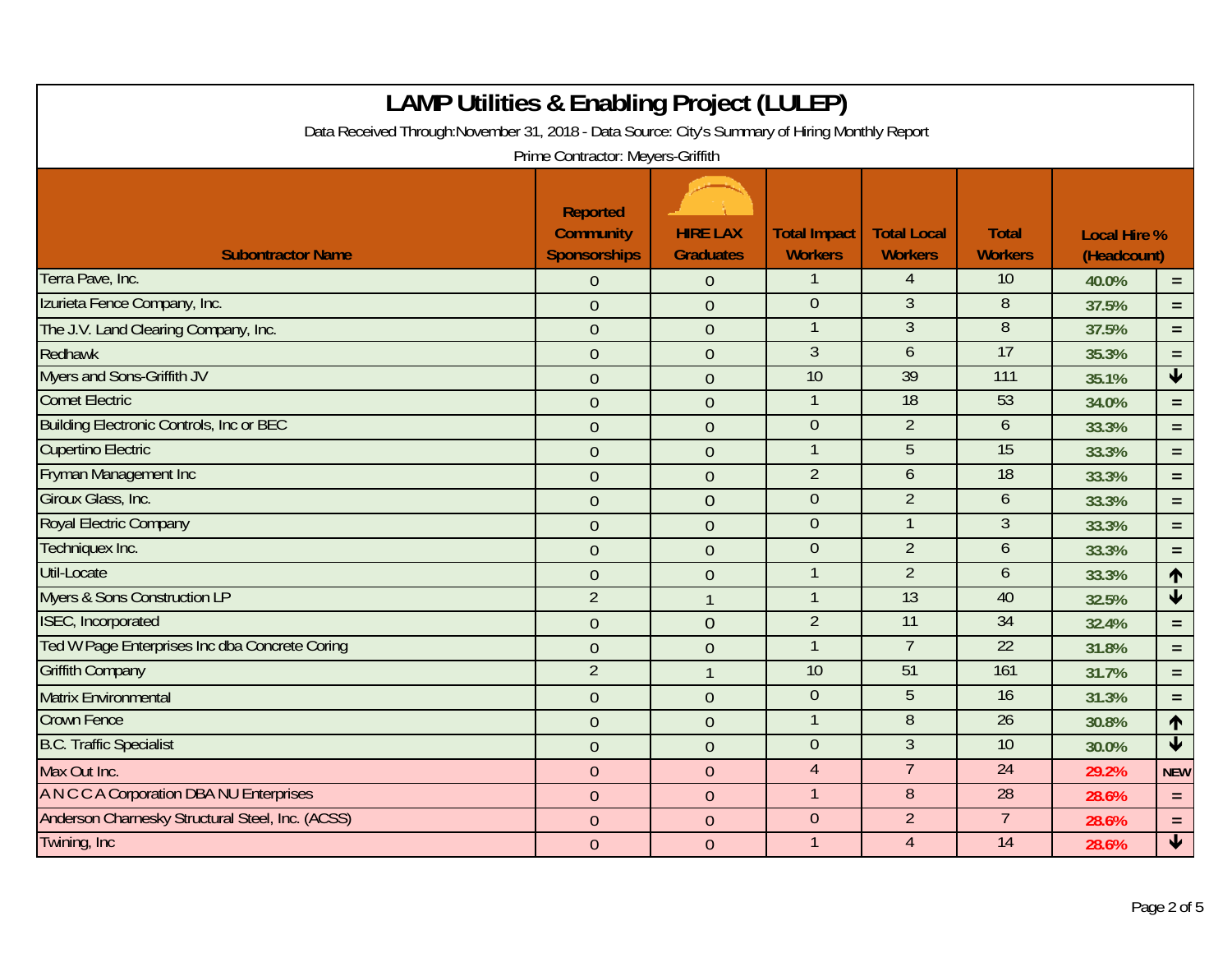| <b>LAMP Utilities &amp; Enabling Project (LULEP)</b><br>Data Received Through: November 31, 2018 - Data Source: City's Summary of Hiring Monthly Report |                                                                          |                  |                     |                                  |                     |                     |                         |  |
|---------------------------------------------------------------------------------------------------------------------------------------------------------|--------------------------------------------------------------------------|------------------|---------------------|----------------------------------|---------------------|---------------------|-------------------------|--|
|                                                                                                                                                         | Prime Contractor: Meyers-Griffith<br><b>Reported</b><br><b>Community</b> | <b>HIRE LAX</b>  | <b>Total Impact</b> | <b>Total Local</b>               | <b>Total</b>        | <b>Local Hire %</b> |                         |  |
| <b>Subontractor Name</b>                                                                                                                                | <b>Sponsorships</b>                                                      | <b>Graduates</b> | <b>Workers</b>      | <b>Workers</b>                   | <b>Workers</b>      | (Headcount)         |                         |  |
| Terra Pave, Inc.                                                                                                                                        | 0                                                                        | $\theta$         |                     | $\overline{4}$                   | 10                  | 40.0%               | $\equiv$                |  |
| Izurieta Fence Company, Inc.                                                                                                                            | $\overline{0}$                                                           | $\overline{0}$   | $\theta$<br>1       | $\overline{3}$<br>$\overline{3}$ | 8<br>$\overline{8}$ | 37.5%               | $=$                     |  |
| The J.V. Land Clearing Company, Inc.                                                                                                                    | $\overline{0}$                                                           | $\overline{0}$   | $\overline{3}$      | 6                                | 17                  | 37.5%               | $=$                     |  |
| Redhawk<br><b>Myers and Sons-Griffith JV</b>                                                                                                            | $\overline{0}$                                                           | $\overline{0}$   | 10                  | 39                               | 111                 | 35.3%               | $\equiv$                |  |
| <b>Comet Electric</b>                                                                                                                                   | $\overline{0}$                                                           | $\mathbf{0}$     |                     |                                  |                     | 35.1%               | $\blacklozenge$         |  |
|                                                                                                                                                         | $\overline{0}$                                                           | $\overline{0}$   | $\mathbf{1}$        | $\overline{18}$                  | 53                  | 34.0%               | $\equiv$                |  |
| <b>Building Electronic Controls, Inc or BEC</b>                                                                                                         | $\overline{0}$                                                           | $\overline{0}$   | $\mathbf{0}$        | $\overline{2}$                   | 6                   | 33.3%               | $\equiv$                |  |
| <b>Cupertino Electric</b>                                                                                                                               | $\overline{0}$                                                           | $\theta$         | $\mathbf{1}$        | 5                                | $\overline{15}$     | 33.3%               | $=$                     |  |
| <b>Fryman Management Inc.</b>                                                                                                                           | $\overline{0}$                                                           | $\overline{0}$   | $\overline{2}$      | 6                                | 18                  | 33.3%               | $\equiv$                |  |
| Giroux Glass, Inc.                                                                                                                                      | $\overline{0}$                                                           | $\overline{0}$   | $\mathbf 0$         | $\overline{2}$                   | 6                   | 33.3%               | $=$                     |  |
| Royal Electric Company                                                                                                                                  | $\overline{0}$                                                           | $\overline{0}$   | $\mathbf 0$         | $\mathbf{1}$                     | $\mathfrak{Z}$      | 33.3%               | $\equiv$                |  |
| Techniquex Inc.                                                                                                                                         | $\overline{0}$                                                           | $\overline{0}$   | $\overline{0}$      | $\overline{2}$                   | $\mathfrak b$       | 33.3%               | $\equiv$                |  |
| <b>Util-Locate</b>                                                                                                                                      | $\overline{0}$                                                           | $\overline{0}$   | $\mathbf{1}$        | $\overline{2}$                   | 6                   | 33.3%               | $\uparrow$              |  |
| <b>Myers &amp; Sons Construction LP</b>                                                                                                                 | $\overline{2}$                                                           | $\mathbf{1}$     | $\mathbf{1}$        | $\overline{13}$                  | 40                  | 32.5%               | $\overline{\mathbf{V}}$ |  |
| <b>ISEC, Incorporated</b>                                                                                                                               | $\overline{0}$                                                           | $\overline{0}$   | $\overline{2}$      | $\overline{11}$                  | $\overline{34}$     | 32.4%               | $\equiv$                |  |
| Ted W Page Enterprises Inc dba Concrete Coring                                                                                                          | $\overline{0}$                                                           | $\mathbf{0}$     |                     | $\overline{7}$                   | 22                  | 31.8%               | $\equiv$                |  |
| <b>Griffith Company</b>                                                                                                                                 | $\overline{2}$                                                           | $\mathbf{1}$     | 10                  | 51                               | 161                 | 31.7%               | $\equiv$                |  |
| <b>Matrix Environmental</b>                                                                                                                             | $\overline{0}$                                                           | $\overline{0}$   | $\overline{0}$      | 5                                | 16                  | 31.3%               | $\equiv$                |  |
| <b>Crown Fence</b>                                                                                                                                      | $\overline{0}$                                                           | $\overline{0}$   | $\mathbf{1}$        | $\,8\,$                          | $\overline{26}$     | 30.8%               | $\uparrow$              |  |
| <b>B.C. Traffic Specialist</b>                                                                                                                          | $\overline{0}$                                                           | $\overline{0}$   | $\mathbf{0}$        | 3                                | $\overline{10}$     | 30.0%               | $\overline{\textbf{V}}$ |  |
| Max Out Inc.                                                                                                                                            | $\overline{0}$                                                           | $\boldsymbol{0}$ | $\overline{4}$      | $\overline{7}$                   | $\overline{24}$     | 29.2%               | <b>NEW</b>              |  |
| A N C C A Corporation DBA NU Enterprises                                                                                                                | $\mathbf{0}$                                                             | $\overline{0}$   | $\mathbf{1}$        | 8                                | 28                  | 28.6%               | $\equiv$                |  |
| Anderson Charnesky Structural Steel, Inc. (ACSS)                                                                                                        | $\overline{0}$                                                           | $\overline{0}$   | $\mathbf{0}$        | $\overline{2}$                   | $\overline{7}$      | 28.6%               | $\equiv$                |  |
| Twining, Inc.                                                                                                                                           | $\overline{0}$                                                           | $\overline{0}$   | $\mathbf{1}$        | $\overline{4}$                   | 14                  | 28.6%               | $\overline{\mathbf{t}}$ |  |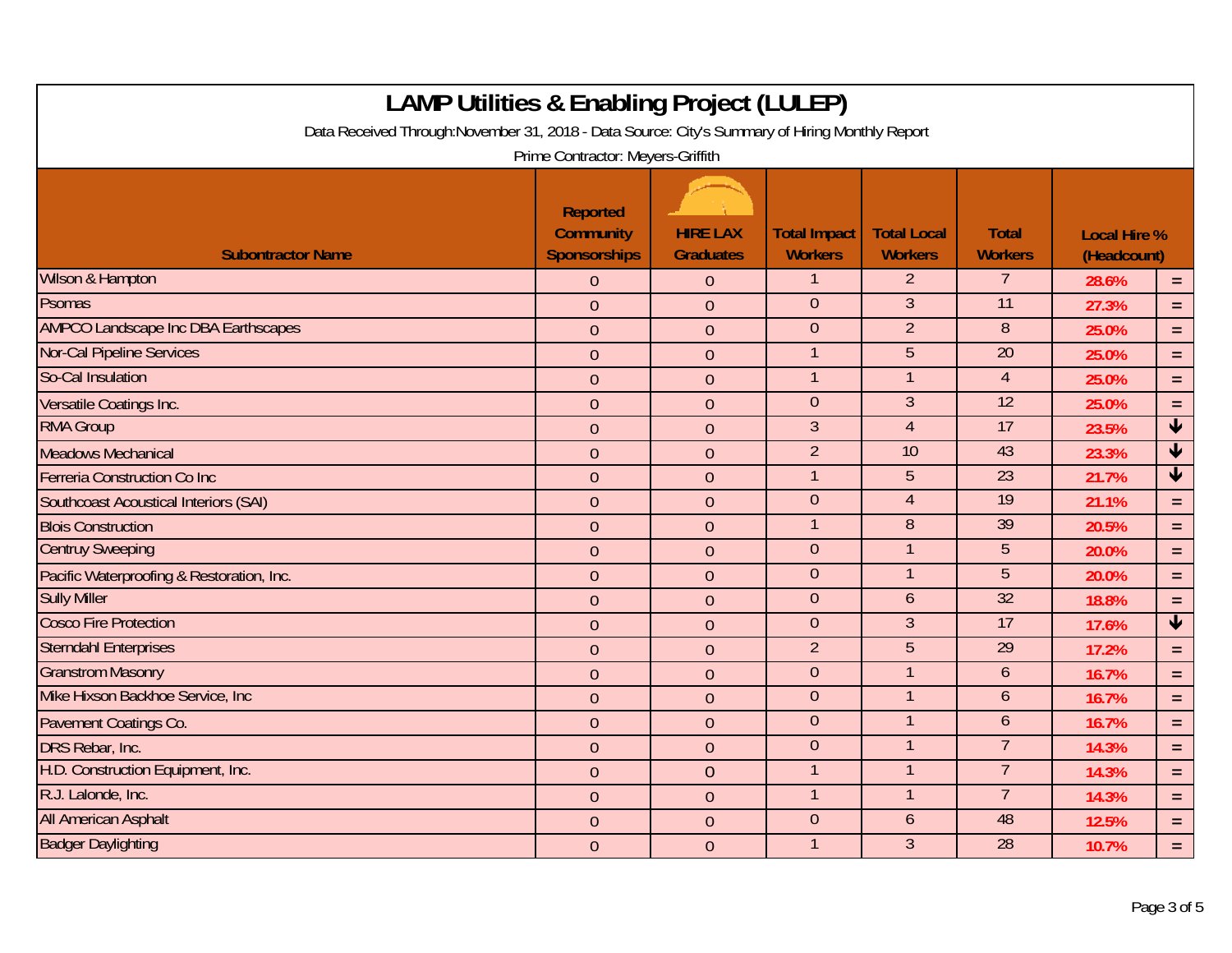| <b>LAMP Utilities &amp; Enabling Project (LULEP)</b><br>Data Received Through: November 31, 2018 - Data Source: City's Summary of Hiring Monthly Report<br>Prime Contractor: Meyers-Griffith |                                                            |                                     |                                       |                                      |                                |                                    |                         |  |
|----------------------------------------------------------------------------------------------------------------------------------------------------------------------------------------------|------------------------------------------------------------|-------------------------------------|---------------------------------------|--------------------------------------|--------------------------------|------------------------------------|-------------------------|--|
| <b>Subontractor Name</b>                                                                                                                                                                     | <b>Reported</b><br><b>Community</b><br><b>Sponsorships</b> | <b>HIRE LAX</b><br><b>Graduates</b> | <b>Total Impact</b><br><b>Workers</b> | <b>Total Local</b><br><b>Workers</b> | <b>Total</b><br><b>Workers</b> | <b>Local Hire %</b><br>(Headcount) |                         |  |
| <b>Wilson &amp; Hampton</b>                                                                                                                                                                  | $\overline{0}$                                             | $\mathbf{0}$                        |                                       | $\overline{2}$                       | $\overline{7}$                 | 28.6%                              | $=$                     |  |
| Psomas                                                                                                                                                                                       | $\overline{0}$                                             | $\overline{0}$                      | $\boldsymbol{0}$                      | $\mathfrak{Z}$                       | 11                             | 27.3%                              | $=$                     |  |
| <b>AMPCO Landscape Inc DBA Earthscapes</b>                                                                                                                                                   | $\overline{0}$                                             | $\overline{0}$                      | $\theta$                              | $\overline{2}$                       | 8                              | 25.0%                              | $\equiv$                |  |
| <b>Nor-Cal Pipeline Services</b>                                                                                                                                                             | $\mathbf 0$                                                | $\mathbf 0$                         | 1                                     | 5                                    | $\overline{20}$                | 25.0%                              | $=$                     |  |
| So-Cal Insulation                                                                                                                                                                            | $\overline{0}$                                             | $\theta$                            | 1                                     | $\mathbf{1}$                         | $\overline{4}$                 | 25.0%                              | $\equiv$                |  |
| Versatile Coatings Inc.                                                                                                                                                                      | $\overline{0}$                                             | $\overline{0}$                      | $\theta$                              | $\overline{3}$                       | 12                             | 25.0%                              | $=$                     |  |
| <b>RMA Group</b>                                                                                                                                                                             | $\overline{0}$                                             | $\overline{0}$                      | $\overline{3}$                        | $\overline{4}$                       | $\overline{17}$                | 23.5%                              | $\blacklozenge$         |  |
| <b>Meadows Mechanical</b>                                                                                                                                                                    | $\overline{0}$                                             | $\overline{0}$                      | $\overline{2}$                        | $\overline{10}$                      | 43                             | 23.3%                              | $\overline{\textbf{V}}$ |  |
| Ferreria Construction Co Inc                                                                                                                                                                 | $\overline{0}$                                             | $\overline{0}$                      | $\mathbf{1}$                          | 5                                    | 23                             | 21.7%                              | $\overline{\mathbf{V}}$ |  |
| <b>Southcoast Acoustical Interiors (SAI)</b>                                                                                                                                                 | $\mathbf 0$                                                | $\mathbf{0}$                        | $\boldsymbol{0}$                      | $\overline{4}$                       | $\overline{19}$                | 21.1%                              | $\equiv$                |  |
| <b>Blois Construction</b>                                                                                                                                                                    | $\overline{0}$                                             | $\overline{0}$                      | $\overline{1}$                        | $\overline{8}$                       | $\overline{39}$                | 20.5%                              | $\equiv$                |  |
| <b>Centruy Sweeping</b>                                                                                                                                                                      | $\overline{0}$                                             | $\overline{0}$                      | $\theta$                              | $\mathbf{1}$                         | 5                              | 20.0%                              | $\equiv$                |  |
| Pacific Waterproofing & Restoration, Inc.                                                                                                                                                    | $\overline{0}$                                             | $\theta$                            | $\theta$                              | $\mathbf{1}$                         | 5                              | 20.0%                              | $\equiv$                |  |
| <b>Sully Miller</b>                                                                                                                                                                          | $\overline{0}$                                             | $\overline{0}$                      | $\boldsymbol{0}$                      | $\mathfrak b$                        | $\overline{32}$                | 18.8%                              | $=$                     |  |
| <b>Cosco Fire Protection</b>                                                                                                                                                                 | $\overline{0}$                                             | $\overline{0}$                      | $\theta$                              | $\overline{3}$                       | 17                             | 17.6%                              | $\overline{\mathbf{V}}$ |  |
| <b>Sterndahl Enterprises</b>                                                                                                                                                                 | $\overline{0}$                                             | $\overline{0}$                      | $\overline{2}$                        | 5                                    | $\overline{29}$                | 17.2%                              | $\equiv$                |  |
| <b>Granstrom Masonry</b>                                                                                                                                                                     | $\overline{0}$                                             | $\overline{0}$                      | $\overline{0}$                        | $\overline{1}$                       | $\mathfrak b$                  | 16.7%                              | $\equiv$                |  |
| Mike Hixson Backhoe Service, Inc.                                                                                                                                                            | $\overline{0}$                                             | $\overline{0}$                      | $\theta$                              | $\mathbf{1}$                         | 6                              | 16.7%                              | $\equiv$                |  |
| Pavement Coatings Co.                                                                                                                                                                        | $\overline{0}$                                             | $\overline{0}$                      | $\theta$                              | $\mathbf{1}$                         | 6                              | 16.7%                              | $\equiv$                |  |
| DRS Rebar, Inc.                                                                                                                                                                              | $\overline{0}$                                             | $\overline{0}$                      | $\overline{0}$                        | $\mathbf{1}$                         | $\overline{7}$                 | 14.3%                              | $\equiv$                |  |
| H.D. Construction Equipment, Inc.                                                                                                                                                            | $\mathbf 0$                                                | $\overline{0}$                      |                                       | $\mathbf{1}$                         | $\overline{7}$                 | 14.3%                              | $\equiv$                |  |
| R.J. Lalonde, Inc.                                                                                                                                                                           | $\overline{0}$                                             | $\theta$                            | $\mathbf{1}$                          | $\mathbf{1}$                         | $\overline{7}$                 | 14.3%                              | $\equiv$                |  |
| <b>All American Asphalt</b>                                                                                                                                                                  | $\overline{0}$                                             | $\overline{0}$                      | $\theta$                              | 6                                    | 48                             | 12.5%                              | $\equiv$                |  |
| <b>Badger Daylighting</b>                                                                                                                                                                    | $\overline{0}$                                             | $\overline{0}$                      |                                       | $\overline{3}$                       | 28                             | 10.7%                              | $\equiv$                |  |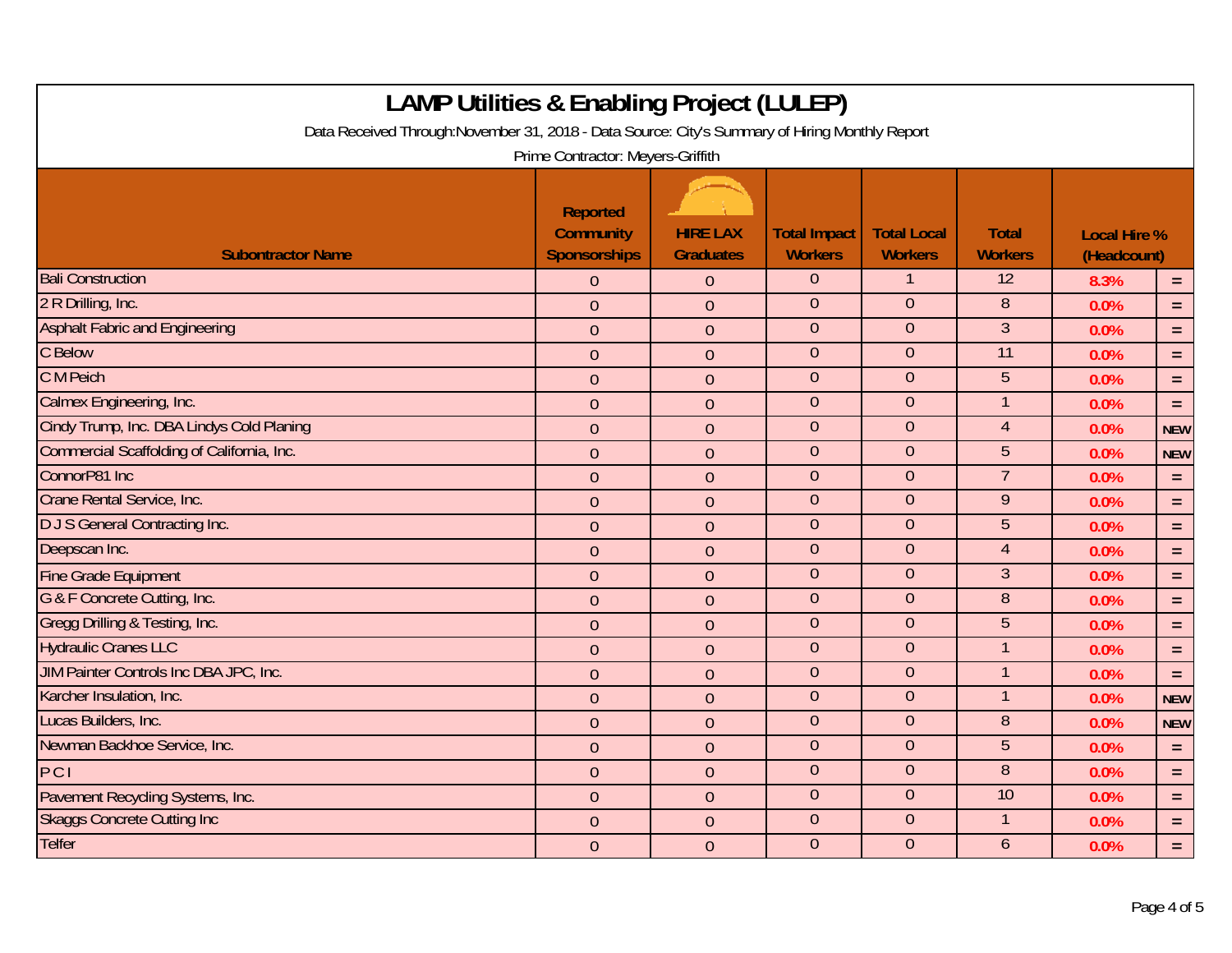| <b>LAMP Utilities &amp; Enabling Project (LULEP)</b>                                                                                 |                                                            |                                     |                                       |                                      |                                |                                    |            |  |
|--------------------------------------------------------------------------------------------------------------------------------------|------------------------------------------------------------|-------------------------------------|---------------------------------------|--------------------------------------|--------------------------------|------------------------------------|------------|--|
| Data Received Through: November 31, 2018 - Data Source: City's Summary of Hiring Monthly Report<br>Prime Contractor: Meyers-Griffith |                                                            |                                     |                                       |                                      |                                |                                    |            |  |
| <b>Subontractor Name</b>                                                                                                             | <b>Reported</b><br><b>Community</b><br><b>Sponsorships</b> | <b>HIRE LAX</b><br><b>Graduates</b> | <b>Total Impact</b><br><b>Workers</b> | <b>Total Local</b><br><b>Workers</b> | <b>Total</b><br><b>Workers</b> | <b>Local Hire %</b><br>(Headcount) |            |  |
| <b>Bali Construction</b>                                                                                                             | $\overline{0}$                                             | $\overline{0}$                      | $\theta$                              |                                      | $\overline{12}$                | 8.3%                               | $\equiv$   |  |
| 2 R Drilling, Inc.                                                                                                                   | $\overline{0}$                                             | $\overline{0}$                      | $\mathbf 0$                           | $\overline{0}$                       | 8                              | 0.0%                               | $\equiv$   |  |
| <b>Asphalt Fabric and Engineering</b>                                                                                                | $\overline{0}$                                             | $\overline{0}$                      | $\overline{0}$                        | $\theta$                             | $\overline{3}$                 | 0.0%                               | $=$        |  |
| C Below                                                                                                                              | $\mathbf 0$                                                | $\overline{0}$                      | $\overline{0}$                        | $\overline{0}$                       | $\overline{11}$                | 0.0%                               | $\equiv$   |  |
| C M Peich                                                                                                                            | $\overline{0}$                                             | $\overline{0}$                      | $\overline{0}$                        | $\overline{0}$                       | $\overline{5}$                 | 0.0%                               | $\equiv$   |  |
| Calmex Engineering, Inc.                                                                                                             | $\overline{0}$                                             | $\overline{0}$                      | $\overline{0}$                        | $\overline{0}$                       | 1                              | 0.0%                               | $=$        |  |
| Cindy Trump, Inc. DBA Lindys Cold Planing                                                                                            | $\overline{0}$                                             | $\overline{0}$                      | $\overline{0}$                        | $\overline{0}$                       | $\overline{4}$                 | 0.0%                               | <b>NEW</b> |  |
| Commercial Scaffolding of California, Inc.                                                                                           | $\overline{0}$                                             | $\overline{0}$                      | $\mathbf 0$                           | $\mathbf{0}$                         | 5                              | 0.0%                               | <b>NEW</b> |  |
| ConnorP81 Inc                                                                                                                        | $\overline{0}$                                             | $\overline{0}$                      | $\overline{0}$                        | $\overline{0}$                       | $\overline{7}$                 | 0.0%                               | $\equiv$   |  |
| Crane Rental Service, Inc.                                                                                                           | $\mathbf 0$                                                | $\mathbf{0}$                        | $\mathbf{0}$                          | $\theta$                             | 9                              | 0.0%                               | $\equiv$   |  |
| <b>DJS</b> General Contracting Inc.                                                                                                  | $\overline{0}$                                             | $\mathbf{0}$                        | $\boldsymbol{0}$                      | $\overline{0}$                       | 5                              | 0.0%                               | $\equiv$   |  |
| Deepscan Inc.                                                                                                                        | $\overline{0}$                                             | $\overline{0}$                      | $\mathbf{0}$                          | $\overline{0}$                       | $\overline{4}$                 | 0.0%                               | $\equiv$   |  |
| <b>Fine Grade Equipment</b>                                                                                                          | $\overline{0}$                                             | $\overline{0}$                      | $\mathbf{0}$                          | $\overline{0}$                       | 3                              | 0.0%                               | $=$        |  |
| G & F Concrete Cutting, Inc.                                                                                                         | $\overline{0}$                                             | $\overline{0}$                      | $\overline{0}$                        | $\overline{0}$                       | 8                              | 0.0%                               | $\equiv$   |  |
| Gregg Drilling & Testing, Inc.                                                                                                       | $\overline{0}$                                             | $\overline{0}$                      | $\mathbf{0}$                          | $\overline{0}$                       | 5                              | 0.0%                               | $\equiv$   |  |
| <b>Hydraulic Cranes LLC</b>                                                                                                          | $\overline{0}$                                             | $\overline{0}$                      | $\mathbf{0}$                          | $\theta$                             | $\mathbf{1}$                   | 0.0%                               | $\equiv$   |  |
| JIM Painter Controls Inc DBA JPC, Inc.                                                                                               | $\overline{0}$                                             | $\mathbf{0}$                        | $\overline{0}$                        | $\overline{0}$                       | $\mathbf{1}$                   | 0.0%                               | $=$        |  |
| Karcher Insulation, Inc.                                                                                                             | $\overline{0}$                                             | $\mathbf{0}$                        | $\overline{0}$                        | $\overline{0}$                       | $\mathbf{1}$                   | 0.0%                               | <b>NEW</b> |  |
| Lucas Builders, Inc.                                                                                                                 | $\overline{0}$                                             | $\overline{0}$                      | $\overline{0}$                        | $\overline{0}$                       | 8                              | 0.0%                               | <b>NEW</b> |  |
| Newman Backhoe Service, Inc.                                                                                                         | $\overline{0}$                                             | $\overline{0}$                      | $\mathbf{0}$                          | $\overline{0}$                       | 5                              | 0.0%                               | $\equiv$   |  |
| PCI                                                                                                                                  | $\mathbf{0}$                                               | $\mathbf{0}$                        | $\overline{0}$                        | $\overline{0}$                       | 8                              | 0.0%                               | $\equiv$   |  |
| Pavement Recycling Systems, Inc.                                                                                                     | $\overline{0}$                                             | $\mathbf{0}$                        | $\boldsymbol{0}$                      | $\overline{0}$                       | 10                             | 0.0%                               | $\equiv$   |  |
| <b>Skaggs Concrete Cutting Inc</b>                                                                                                   | $\overline{0}$                                             | $\overline{0}$                      | $\mathbf{0}$                          | $\overline{0}$                       | $\mathbf{1}$                   | 0.0%                               | $\equiv$   |  |
| <b>Telfer</b>                                                                                                                        | $\overline{0}$                                             | $\overline{0}$                      | $\mathbf{0}$                          | $\overline{0}$                       | $\overline{6}$                 | 0.0%                               | $=$        |  |